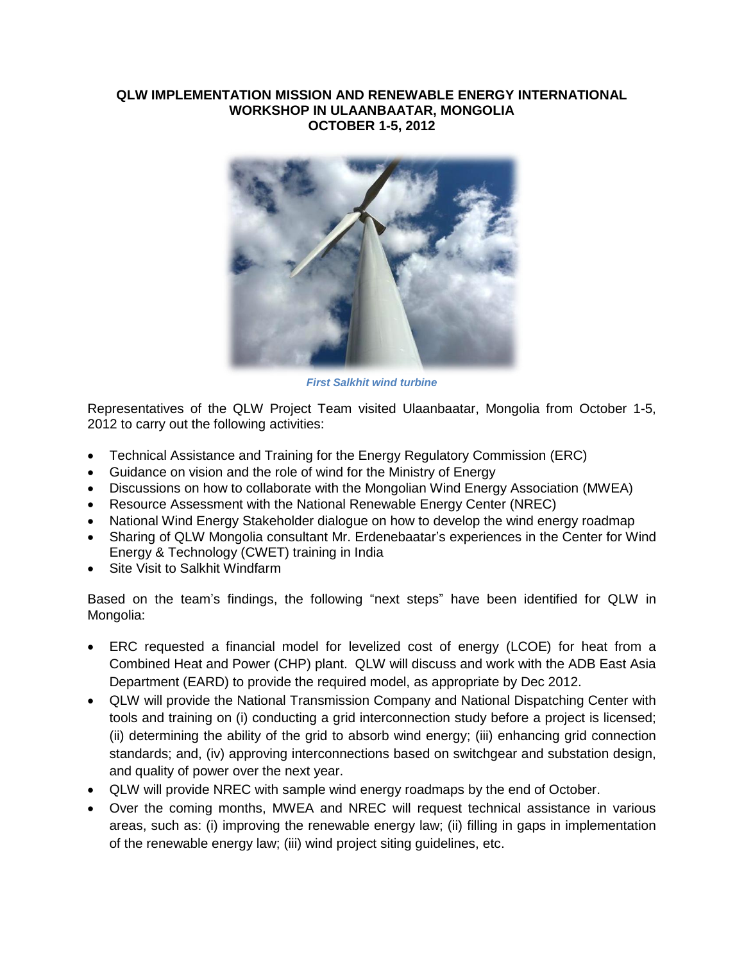## **QLW IMPLEMENTATION MISSION AND RENEWABLE ENERGY INTERNATIONAL WORKSHOP IN ULAANBAATAR, MONGOLIA OCTOBER 1-5, 2012**



*First Salkhit wind turbine*

Representatives of the QLW Project Team visited Ulaanbaatar, Mongolia from October 1-5, 2012 to carry out the following activities:

- Technical Assistance and Training for the Energy Regulatory Commission (ERC)
- Guidance on vision and the role of wind for the Ministry of Energy
- Discussions on how to collaborate with the Mongolian Wind Energy Association (MWEA)
- Resource Assessment with the National Renewable Energy Center (NREC)
- National Wind Energy Stakeholder dialogue on how to develop the wind energy roadmap
- Sharing of QLW Mongolia consultant Mr. Erdenebaatar's experiences in the Center for Wind Energy & Technology (CWET) training in India
- Site Visit to Salkhit Windfarm

Based on the team's findings, the following "next steps" have been identified for QLW in Mongolia:

- ERC requested a financial model for levelized cost of energy (LCOE) for heat from a Combined Heat and Power (CHP) plant. QLW will discuss and work with the ADB East Asia Department (EARD) to provide the required model, as appropriate by Dec 2012.
- QLW will provide the National Transmission Company and National Dispatching Center with tools and training on (i) conducting a grid interconnection study before a project is licensed; (ii) determining the ability of the grid to absorb wind energy; (iii) enhancing grid connection standards; and, (iv) approving interconnections based on switchgear and substation design, and quality of power over the next year.
- QLW will provide NREC with sample wind energy roadmaps by the end of October.
- Over the coming months, MWEA and NREC will request technical assistance in various areas, such as: (i) improving the renewable energy law; (ii) filling in gaps in implementation of the renewable energy law; (iii) wind project siting guidelines, etc.